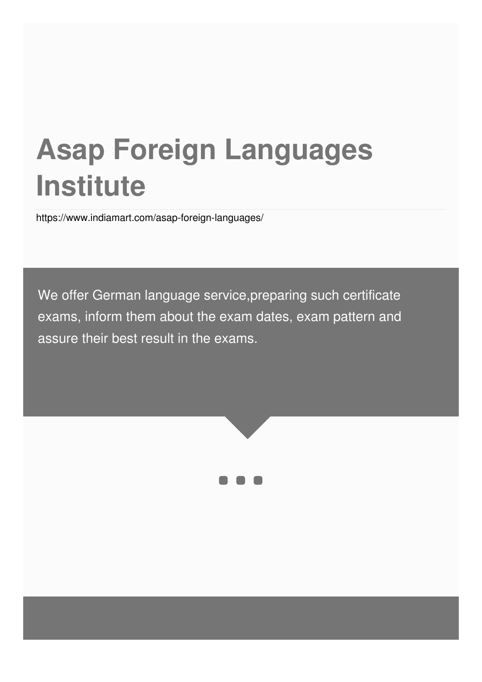# **Asap Foreign Languages Institute**

<https://www.indiamart.com/asap-foreign-languages/>

We offer German language service,preparing such certificate exams, inform them about the exam dates, exam pattern and assure their best result in the exams.



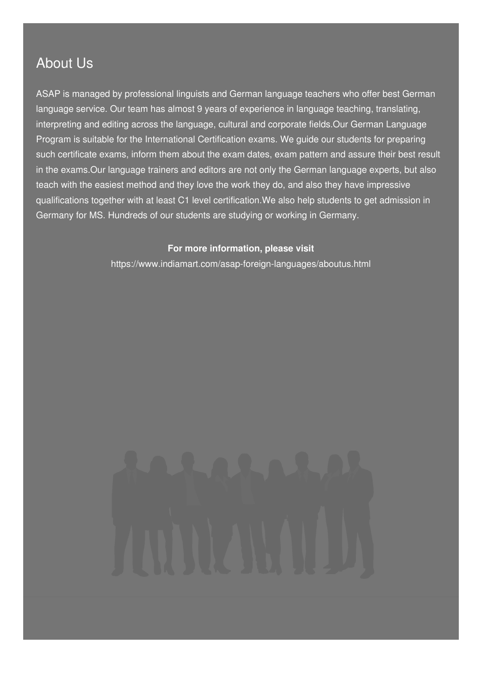### About Us

ASAP is managed by professional linguists and German language teachers who offer best German language service. Our team has almost 9 years of experience in language teaching, translating, interpreting and editing across the language, cultural and corporate fields.Our German Language Program is suitable for the International Certification exams. We guide our students for preparing such certificate exams, inform them about the exam dates, exam pattern and assure their best result in the exams.Our language trainers and editors are not only the German language experts, but also teach with the easiest method and they love the work they do, and also they have impressive qualifications together with at least C1 level certification.We also help students to get admission in Germany for MS. Hundreds of our students are studying or working in Germany.

#### **For more information, please visit**

<https://www.indiamart.com/asap-foreign-languages/aboutus.html>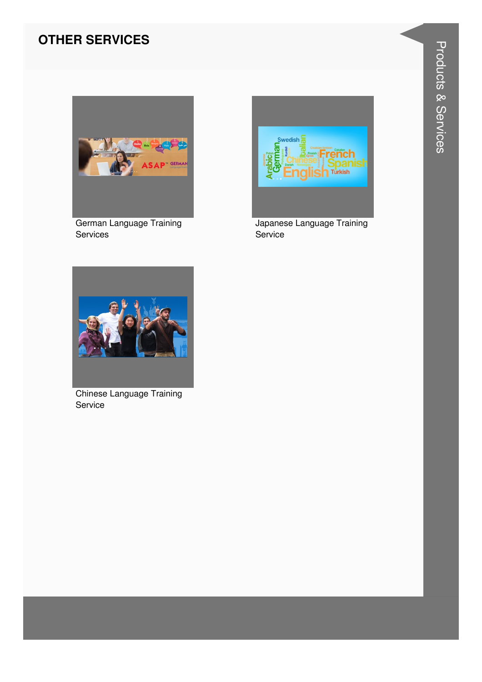#### **OTHER SERVICES**



German Language Training Services



Japanese Language Training Service



**Chinese Language Training** Service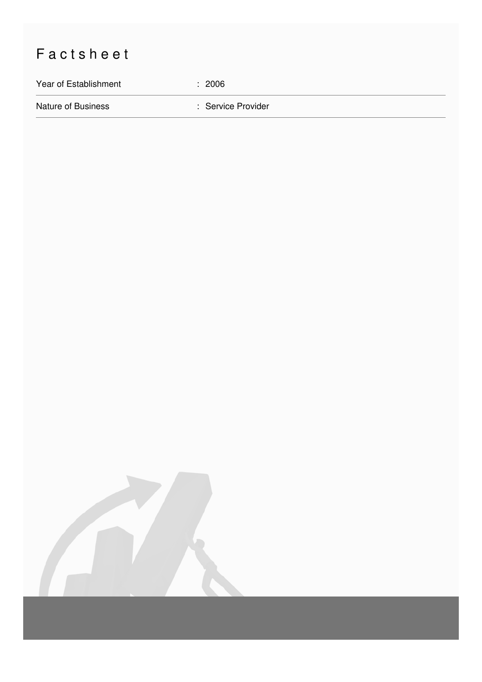## Factsheet

Year of Establishment : 2006

Nature of Business **in American Service Provider** : Service Provider